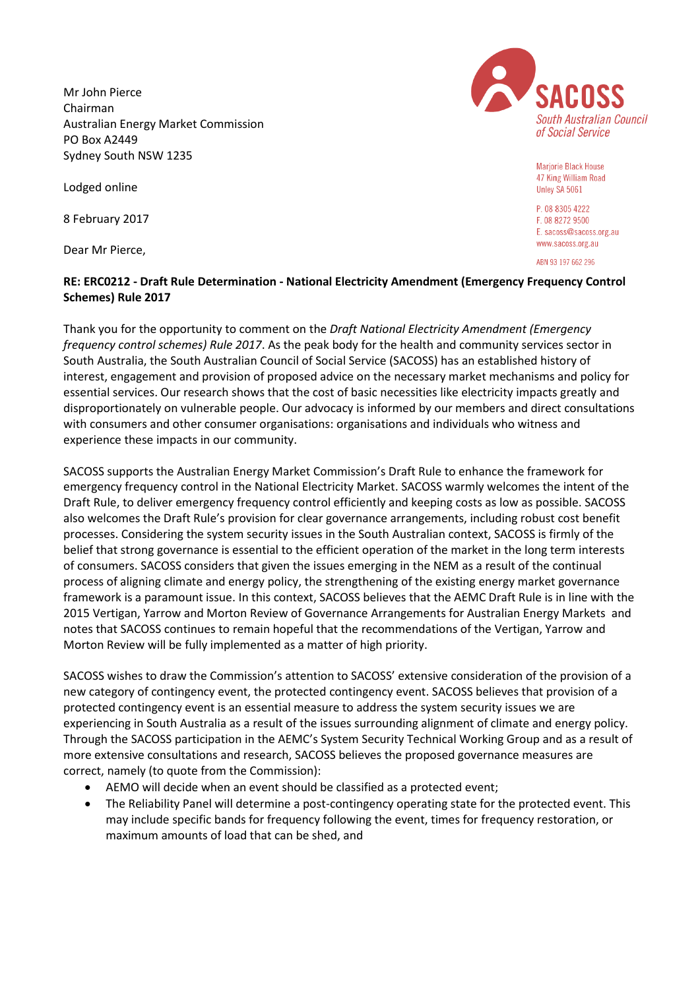Mr John Pierce Chairman Australian Energy Market Commission PO Box A2449 Sydney South NSW 1235

Lodged online

8 February 2017

Dear Mr Pierce,



Mariorie Black House 47 King William Road Unley SA 5061

P. 08 8305 4222 F. 08 8272 9500 E. sacoss@sacoss.org.au www.sacoss.org.au

ABN 93 197 662 296

## **RE: ERC0212 - Draft Rule Determination - National Electricity Amendment (Emergency Frequency Control Schemes) Rule 2017**

Thank you for the opportunity to comment on the *Draft National Electricity Amendment (Emergency frequency control schemes) Rule 2017*. As the peak body for the health and community services sector in South Australia, the South Australian Council of Social Service (SACOSS) has an established history of interest, engagement and provision of proposed advice on the necessary market mechanisms and policy for essential services. Our research shows that the cost of basic necessities like electricity impacts greatly and disproportionately on vulnerable people. Our advocacy is informed by our members and direct consultations with consumers and other consumer organisations: organisations and individuals who witness and experience these impacts in our community.

SACOSS supports the Australian Energy Market Commission's Draft Rule to enhance the framework for emergency frequency control in the National Electricity Market. SACOSS warmly welcomes the intent of the Draft Rule, to deliver emergency frequency control efficiently and keeping costs as low as possible. SACOSS also welcomes the Draft Rule's provision for clear governance arrangements, including robust cost benefit processes. Considering the system security issues in the South Australian context, SACOSS is firmly of the belief that strong governance is essential to the efficient operation of the market in the long term interests of consumers. SACOSS considers that given the issues emerging in the NEM as a result of the continual process of aligning climate and energy policy, the strengthening of the existing energy market governance framework is a paramount issue. In this context, SACOSS believes that the AEMC Draft Rule is in line with the 2015 Vertigan, Yarrow and Morton Review of Governance Arrangements for Australian Energy Markets and notes that SACOSS continues to remain hopeful that the recommendations of the Vertigan, Yarrow and Morton Review will be fully implemented as a matter of high priority.

SACOSS wishes to draw the Commission's attention to SACOSS' extensive consideration of the provision of a new category of contingency event, the protected contingency event. SACOSS believes that provision of a protected contingency event is an essential measure to address the system security issues we are experiencing in South Australia as a result of the issues surrounding alignment of climate and energy policy. Through the SACOSS participation in the AEMC's System Security Technical Working Group and as a result of more extensive consultations and research, SACOSS believes the proposed governance measures are correct, namely (to quote from the Commission):

- AEMO will decide when an event should be classified as a protected event;
- The Reliability Panel will determine a post-contingency operating state for the protected event. This may include specific bands for frequency following the event, times for frequency restoration, or maximum amounts of load that can be shed, and